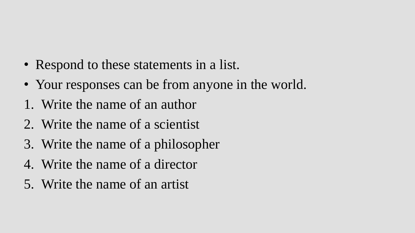- Respond to these statements in a list.
- Your responses can be from anyone in the world.
- 1. Write the name of an author
- 2. Write the name of a scientist
- 3. Write the name of a philosopher
- 4. Write the name of a director
- 5. Write the name of an artist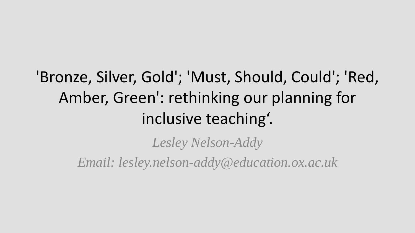#### 'Bronze, Silver, Gold'; 'Must, Should, Could'; 'Red, Amber, Green': rethinking our planning for inclusive teaching'.

*Lesley Nelson-Addy*

*Email: lesley.nelson-addy@education.ox.ac.uk*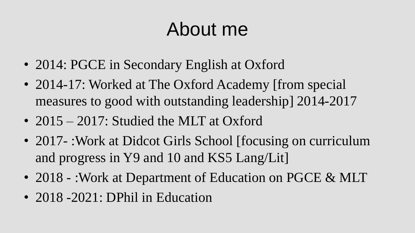## About me

- 2014: PGCE in Secondary English at Oxford
- 2014-17: Worked at The Oxford Academy [from special measures to good with outstanding leadership] 2014-2017
- 2015 2017: Studied the MLT at Oxford
- 2017 -: Work at Didcot Girls School [focusing on curriculum and progress in Y9 and 10 and KS5 Lang/Lit]
- 2018 :Work at Department of Education on PGCE & MLT
- 2018 -2021: DPhil in Education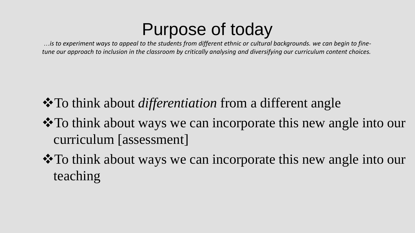#### Purpose of today

…*is to experiment ways to appeal to the students from different ethnic or cultural backgrounds. we can begin to finetune our approach to inclusion in the classroom by critically analysing and diversifying our curriculum content choices.*

- To think about *differentiation* from a different angle
- To think about ways we can incorporate this new angle into our curriculum [assessment]
- To think about ways we can incorporate this new angle into our teaching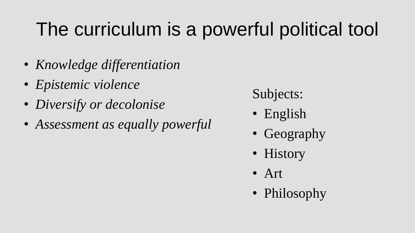# The curriculum is a powerful political tool

- *Knowledge differentiation*
- *Epistemic violence*
- *Diversify or decolonise*
- *Assessment as equally powerful*

Subjects:

- English
- Geography
- History
- Art
- Philosophy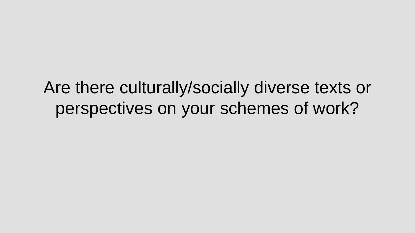Are there culturally/socially diverse texts or perspectives on your schemes of work?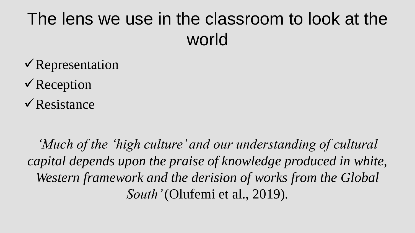### The lens we use in the classroom to look at the world

- Representation
- $\sqrt{\text{Reception}}$
- $\sqrt{\text{Resistance}}$

*'Much of the 'high culture' and our understanding of cultural capital depends upon the praise of knowledge produced in white, Western framework and the derision of works from the Global South'* (Olufemi et al., 2019).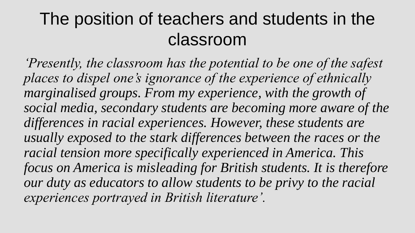#### The position of teachers and students in the classroom

*'Presently, the classroom has the potential to be one of the safest places to dispel one's ignorance of the experience of ethnically*  marginalised groups. From my experience, with the growth of *social media, secondary students are becoming more aware of the differences in racial experiences. However, these students are usually exposed to the stark differences between the races or the racial tension more specifically experienced in America. This focus on America is misleading for British students. It is therefore our duty as educators to allow students to be privy to the racial experiences portrayed in British literature'.*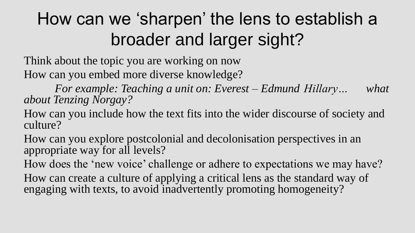## How can we 'sharpen' the lens to establish a broader and larger sight?

Think about the topic you are working on now How can you embed more diverse knowledge?

*For example: Teaching a unit on: Everest – Edmund Hillary… what about Tenzing Norgay?* 

How can you include how the text fits into the wider discourse of society and culture?

How can you explore postcolonial and decolonisation perspectives in an appropriate way for all levels?

How does the 'new voice' challenge or adhere to expectations we may have?

How can create a culture of applying a critical lens as the standard way of engaging with texts, to avoid inadvertently promoting homogeneity?